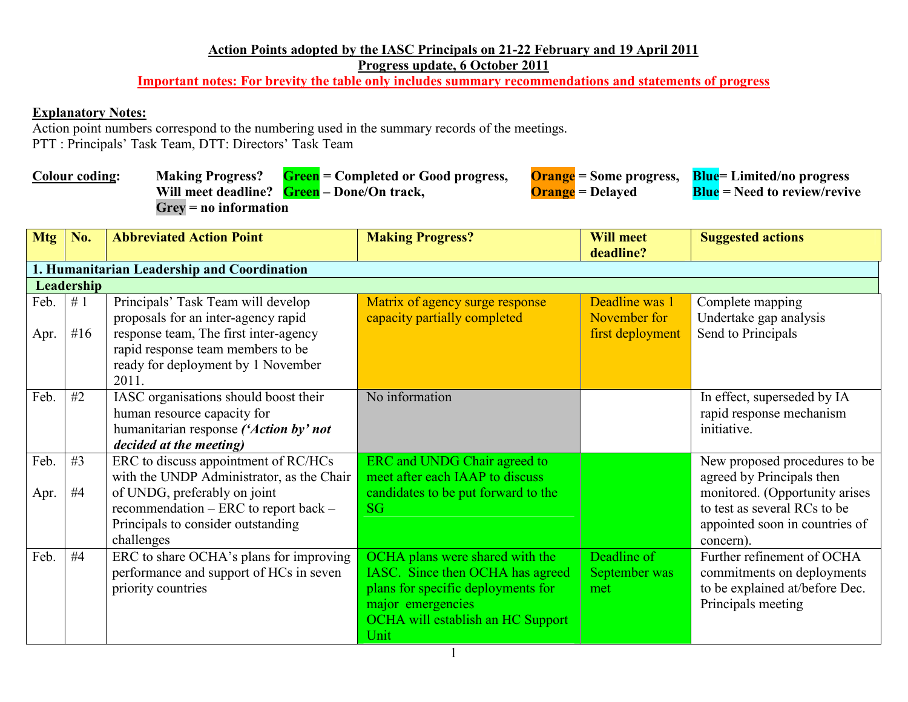## **Action Points adopted by the IASC Principals on 21-22 February and 19 April 2011Progress update, 6 October 2011**

**Important notes: For brevity the table only includes summary recommendations and statements of progress** 

## **Explanatory Notes:**

 Action point numbers correspond to the numbering used in the summary records of the meetings. PTT : Principals' Task Team, DTT: Directors' Task Team

| <b>Colour coding:</b> |                                            | Making Progress? Green = Completed or Good progress, |                         | <b>Orange</b> = Some progress, <b>Blue</b> = Limited/no progress |
|-----------------------|--------------------------------------------|------------------------------------------------------|-------------------------|------------------------------------------------------------------|
|                       | Will meet deadline? Green – Done/On track, |                                                      | <b>Orange</b> = Delayed | <b>Blue</b> = Need to review/revive                              |
|                       | $Grev = no information$                    |                                                      |                         |                                                                  |

| <b>Mtg</b>   | No.          | <b>Abbreviated Action Point</b>                                                                                                                                                                        | <b>Making Progress?</b>                                                                                                                                                            | <b>Will meet</b><br>deadline?                      | <b>Suggested actions</b>                                                                                         |  |  |  |  |
|--------------|--------------|--------------------------------------------------------------------------------------------------------------------------------------------------------------------------------------------------------|------------------------------------------------------------------------------------------------------------------------------------------------------------------------------------|----------------------------------------------------|------------------------------------------------------------------------------------------------------------------|--|--|--|--|
|              |              | 1. Humanitarian Leadership and Coordination                                                                                                                                                            |                                                                                                                                                                                    |                                                    |                                                                                                                  |  |  |  |  |
|              | Leadership   |                                                                                                                                                                                                        |                                                                                                                                                                                    |                                                    |                                                                                                                  |  |  |  |  |
| Feb.<br>Apr. | #1<br># $16$ | Principals' Task Team will develop<br>proposals for an inter-agency rapid<br>response team, The first inter-agency<br>rapid response team members to be<br>ready for deployment by 1 November<br>2011. | Matrix of agency surge response<br>capacity partially completed                                                                                                                    | Deadline was 1<br>November for<br>first deployment | Complete mapping<br>Undertake gap analysis<br>Send to Principals                                                 |  |  |  |  |
| Feb.         | #2           | IASC organisations should boost their<br>human resource capacity for<br>humanitarian response ('Action by' not<br>decided at the meeting)                                                              | No information                                                                                                                                                                     |                                                    | In effect, superseded by IA<br>rapid response mechanism<br>initiative.                                           |  |  |  |  |
| Feb.         | #3           | ERC to discuss appointment of RC/HCs<br>with the UNDP Administrator, as the Chair                                                                                                                      | ERC and UNDG Chair agreed to<br>meet after each IAAP to discuss                                                                                                                    |                                                    | New proposed procedures to be<br>agreed by Principals then                                                       |  |  |  |  |
| Apr.         | #4           | of UNDG, preferably on joint<br>recommendation – ERC to report back –<br>Principals to consider outstanding<br>challenges                                                                              | candidates to be put forward to the<br><b>SG</b>                                                                                                                                   |                                                    | monitored. (Opportunity arises<br>to test as several RCs to be<br>appointed soon in countries of<br>concern).    |  |  |  |  |
| Feb.         | #4           | ERC to share OCHA's plans for improving<br>performance and support of HCs in seven<br>priority countries                                                                                               | OCHA plans were shared with the<br>IASC. Since then OCHA has agreed<br>plans for specific deployments for<br>major emergencies<br><b>OCHA</b> will establish an HC Support<br>Unit | Deadline of<br>September was<br>met                | Further refinement of OCHA<br>commitments on deployments<br>to be explained at/before Dec.<br>Principals meeting |  |  |  |  |

1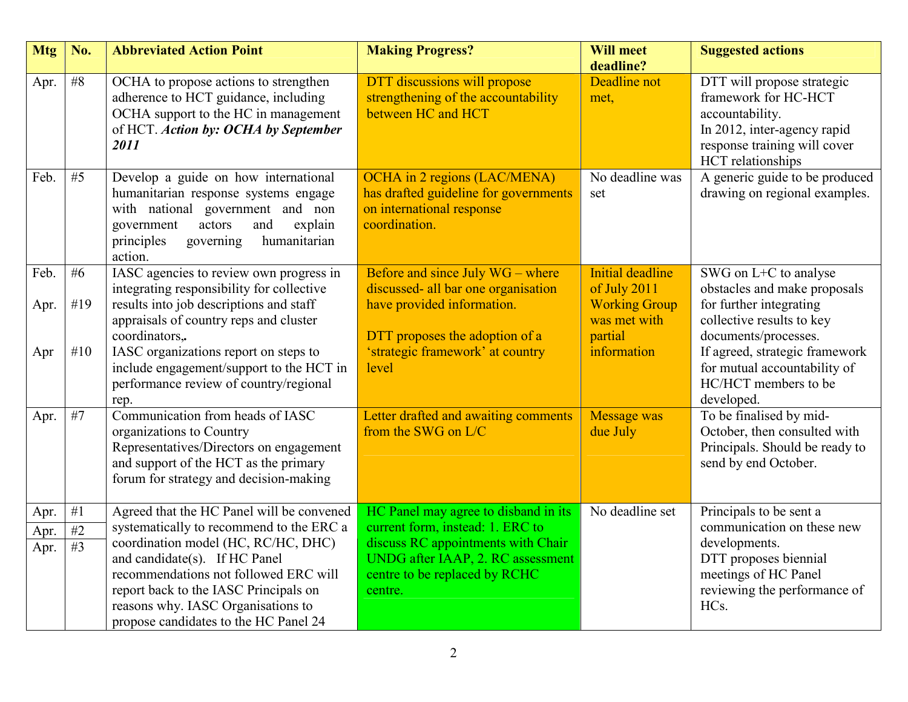| <b>Mtg</b> | No.   | <b>Abbreviated Action Point</b>                                                                                                                                                                                  | <b>Making Progress?</b>                                                                                             | <b>Will meet</b><br>deadline?                   | <b>Suggested actions</b>                                                                                                                                  |
|------------|-------|------------------------------------------------------------------------------------------------------------------------------------------------------------------------------------------------------------------|---------------------------------------------------------------------------------------------------------------------|-------------------------------------------------|-----------------------------------------------------------------------------------------------------------------------------------------------------------|
| Apr.       | #8    | OCHA to propose actions to strengthen<br>adherence to HCT guidance, including<br>OCHA support to the HC in management<br>of HCT. Action by: OCHA by September<br>2011                                            | DTT discussions will propose<br>strengthening of the accountability<br>between HC and HCT                           | Deadline not<br>met,                            | DTT will propose strategic<br>framework for HC-HCT<br>accountability.<br>In 2012, inter-agency rapid<br>response training will cover<br>HCT relationships |
| Feb.       | #5    | Develop a guide on how international<br>humanitarian response systems engage<br>with national government and non<br>explain<br>government<br>actors<br>and<br>humanitarian<br>principles<br>governing<br>action. | OCHA in 2 regions (LAC/MENA)<br>has drafted guideline for governments<br>on international response<br>coordination. | No deadline was<br>set                          | A generic guide to be produced<br>drawing on regional examples.                                                                                           |
| Feb.       | # $6$ | IASC agencies to review own progress in<br>integrating responsibility for collective                                                                                                                             | Before and since July WG – where<br>discussed- all bar one organisation                                             | <b>Initial deadline</b><br>of July 2011         | SWG on L+C to analyse<br>obstacles and make proposals                                                                                                     |
| Apr.       | #19   | results into job descriptions and staff<br>appraisals of country reps and cluster<br>coordinators,.                                                                                                              | have provided information.<br>DTT proposes the adoption of a                                                        | <b>Working Group</b><br>was met with<br>partial | for further integrating<br>collective results to key<br>documents/processes.                                                                              |
| Apr        | #10   | IASC organizations report on steps to<br>include engagement/support to the HCT in<br>performance review of country/regional<br>rep.                                                                              | 'strategic framework' at country<br>level                                                                           | information                                     | If agreed, strategic framework<br>for mutual accountability of<br>HC/HCT members to be<br>developed.                                                      |
| Apr.       | #7    | Communication from heads of IASC<br>organizations to Country<br>Representatives/Directors on engagement<br>and support of the HCT as the primary<br>forum for strategy and decision-making                       | Letter drafted and awaiting comments<br>from the SWG on $L/C$                                                       | <b>Message was</b><br>due July                  | To be finalised by mid-<br>October, then consulted with<br>Principals. Should be ready to<br>send by end October.                                         |
| Apr.       | #1    | Agreed that the HC Panel will be convened                                                                                                                                                                        | HC Panel may agree to disband in its                                                                                | No deadline set                                 | Principals to be sent a                                                                                                                                   |
| Apr.       | $\#2$ | systematically to recommend to the ERC a<br>coordination model (HC, RC/HC, DHC)                                                                                                                                  | current form, instead: 1. ERC to<br>discuss RC appointments with Chair                                              |                                                 | communication on these new<br>developments.                                                                                                               |
| Apr.       | #3    | and candidate(s). If HC Panel                                                                                                                                                                                    | UNDG after IAAP, 2. RC assessment                                                                                   |                                                 | DTT proposes biennial                                                                                                                                     |
|            |       | recommendations not followed ERC will                                                                                                                                                                            | centre to be replaced by RCHC                                                                                       |                                                 | meetings of HC Panel                                                                                                                                      |
|            |       | report back to the IASC Principals on<br>reasons why. IASC Organisations to                                                                                                                                      | centre.                                                                                                             |                                                 | reviewing the performance of<br>HC <sub>s</sub> .                                                                                                         |
|            |       | propose candidates to the HC Panel 24                                                                                                                                                                            |                                                                                                                     |                                                 |                                                                                                                                                           |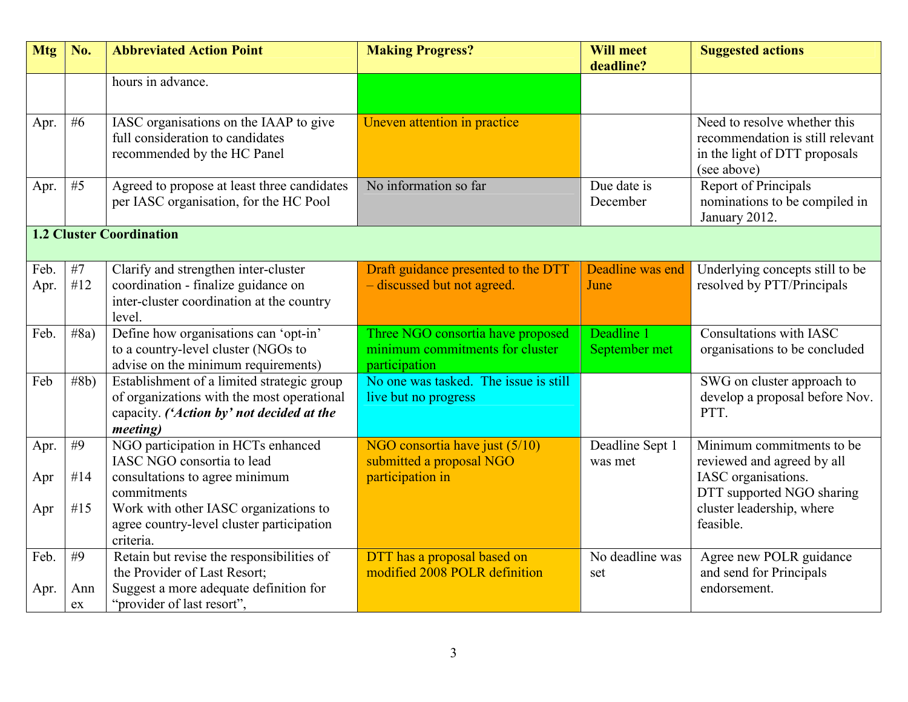| <b>Mtg</b> | No.        | <b>Abbreviated Action Point</b>                               | <b>Making Progress?</b>               | <b>Will meet</b><br>deadline? | <b>Suggested actions</b>               |  |
|------------|------------|---------------------------------------------------------------|---------------------------------------|-------------------------------|----------------------------------------|--|
|            |            |                                                               |                                       |                               |                                        |  |
|            |            | hours in advance.                                             |                                       |                               |                                        |  |
|            |            |                                                               |                                       |                               |                                        |  |
| Apr.       | # $6$      | IASC organisations on the IAAP to give                        | Uneven attention in practice          |                               | Need to resolve whether this           |  |
|            |            | full consideration to candidates                              |                                       |                               | recommendation is still relevant       |  |
|            |            | recommended by the HC Panel                                   |                                       |                               | in the light of DTT proposals          |  |
|            |            |                                                               |                                       |                               | (see above)                            |  |
| Apr.       | #5         | Agreed to propose at least three candidates                   | No information so far                 | Due date is                   | Report of Principals                   |  |
|            |            | per IASC organisation, for the HC Pool                        |                                       | December                      | nominations to be compiled in          |  |
|            |            |                                                               |                                       |                               | January 2012.                          |  |
|            |            | <b>1.2 Cluster Coordination</b>                               |                                       |                               |                                        |  |
|            |            |                                                               |                                       |                               |                                        |  |
| Feb.       | #7         | Clarify and strengthen inter-cluster                          | Draft guidance presented to the DTT   | Deadline was end              | Underlying concepts still to be        |  |
| Apr.       | #12        | coordination - finalize guidance on                           | - discussed but not agreed.           | June                          | resolved by PTT/Principals             |  |
|            |            | inter-cluster coordination at the country                     |                                       |                               |                                        |  |
|            |            | level.                                                        |                                       |                               |                                        |  |
| Feb.       | #8a)       | Define how organisations can 'opt-in'                         | Three NGO consortia have proposed     | Deadline 1                    | Consultations with IASC                |  |
|            |            | to a country-level cluster (NGOs to                           | minimum commitments for cluster       | September met                 | organisations to be concluded          |  |
|            |            | advise on the minimum requirements)                           | participation                         |                               |                                        |  |
| Feb        | #8b)       | Establishment of a limited strategic group                    | No one was tasked. The issue is still |                               | SWG on cluster approach to             |  |
|            |            | of organizations with the most operational                    | live but no progress                  |                               | develop a proposal before Nov.<br>PTT. |  |
|            |            | capacity. ('Action by' not decided at the<br><i>meeting</i> ) |                                       |                               |                                        |  |
|            | #9         | NGO participation in HCTs enhanced                            | NGO consortia have just (5/10)        | Deadline Sept 1               | Minimum commitments to be              |  |
| Apr.       |            | IASC NGO consortia to lead                                    | submitted a proposal NGO              | was met                       | reviewed and agreed by all             |  |
| Apr        | #14        | consultations to agree minimum                                | participation in                      |                               | IASC organisations.                    |  |
|            |            | commitments                                                   |                                       |                               | DTT supported NGO sharing              |  |
| Apr        | #15        | Work with other IASC organizations to                         |                                       |                               | cluster leadership, where              |  |
|            |            | agree country-level cluster participation                     |                                       |                               | feasible.                              |  |
|            |            | criteria.                                                     |                                       |                               |                                        |  |
| Feb.       | #9         | Retain but revise the responsibilities of                     | DTT has a proposal based on           | No deadline was               | Agree new POLR guidance                |  |
|            |            | the Provider of Last Resort;                                  | modified 2008 POLR definition         | set                           | and send for Principals                |  |
| Apr.       | Ann        | Suggest a more adequate definition for                        |                                       |                               | endorsement.                           |  |
|            | ${\rm ex}$ | "provider of last resort",                                    |                                       |                               |                                        |  |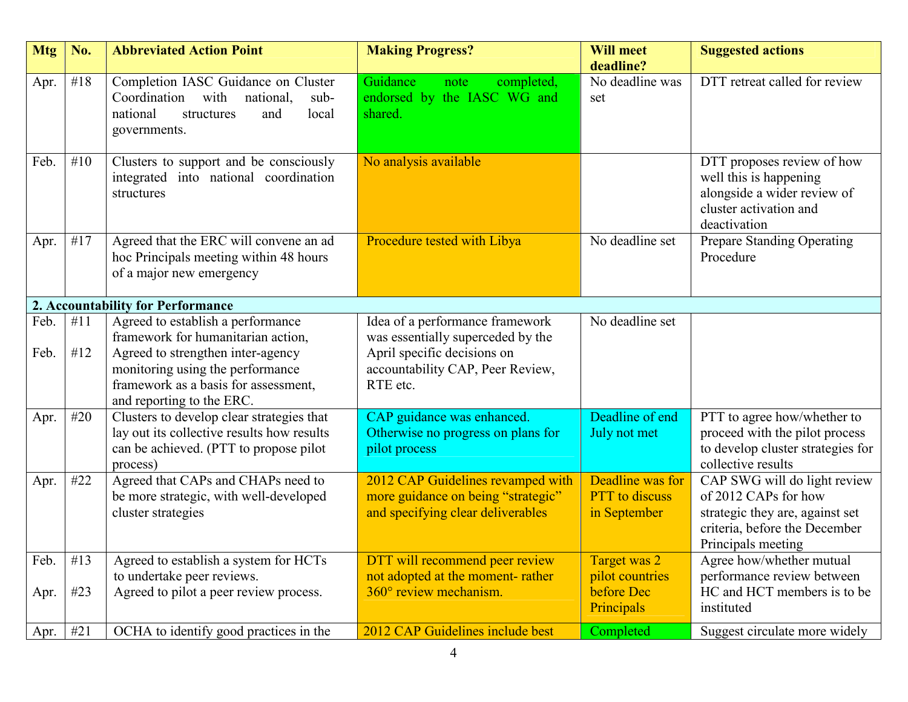| <b>Mtg</b>   | No.        | <b>Abbreviated Action Point</b>                                                                                                               | <b>Making Progress?</b>                                                                                      | <b>Will meet</b>                                          | <b>Suggested actions</b>                                                                                                                       |
|--------------|------------|-----------------------------------------------------------------------------------------------------------------------------------------------|--------------------------------------------------------------------------------------------------------------|-----------------------------------------------------------|------------------------------------------------------------------------------------------------------------------------------------------------|
| Apr.         | #18        | Completion IASC Guidance on Cluster<br>Coordination<br>with<br>national,<br>sub-<br>local<br>national<br>and<br>structures<br>governments.    | Guidance<br>completed,<br>note<br>endorsed by the IASC WG and<br>shared.                                     | deadline?<br>No deadline was<br>set                       | DTT retreat called for review                                                                                                                  |
| Feb.         | #10        | Clusters to support and be consciously<br>integrated into national coordination<br>structures                                                 | No analysis available                                                                                        |                                                           | DTT proposes review of how<br>well this is happening<br>alongside a wider review of<br>cluster activation and<br>deactivation                  |
| Apr.         | #17        | Agreed that the ERC will convene an ad<br>hoc Principals meeting within 48 hours<br>of a major new emergency                                  | Procedure tested with Libya                                                                                  | No deadline set                                           | Prepare Standing Operating<br>Procedure                                                                                                        |
|              |            | 2. Accountability for Performance                                                                                                             |                                                                                                              |                                                           |                                                                                                                                                |
| Feb.<br>Feb. | #11<br>#12 | Agreed to establish a performance<br>framework for humanitarian action,<br>Agreed to strengthen inter-agency                                  | Idea of a performance framework<br>was essentially superceded by the<br>April specific decisions on          | No deadline set                                           |                                                                                                                                                |
|              |            | monitoring using the performance<br>framework as a basis for assessment,<br>and reporting to the ERC.                                         | accountability CAP, Peer Review,<br>RTE etc.                                                                 |                                                           |                                                                                                                                                |
| Apr.         | #20        | Clusters to develop clear strategies that<br>lay out its collective results how results<br>can be achieved. (PTT to propose pilot<br>process) | CAP guidance was enhanced.<br>Otherwise no progress on plans for<br>pilot process                            | Deadline of end<br>July not met                           | PTT to agree how/whether to<br>proceed with the pilot process<br>to develop cluster strategies for<br>collective results                       |
| Apr.         | #22        | Agreed that CAPs and CHAPs need to<br>be more strategic, with well-developed<br>cluster strategies                                            | 2012 CAP Guidelines revamped with<br>more guidance on being "strategic"<br>and specifying clear deliverables | Deadline was for<br><b>PTT</b> to discuss<br>in September | CAP SWG will do light review<br>of 2012 CAPs for how<br>strategic they are, against set<br>criteria, before the December<br>Principals meeting |
| Feb.         | #13        | Agreed to establish a system for HCTs                                                                                                         | DTT will recommend peer review                                                                               | Target was 2                                              | Agree how/whether mutual                                                                                                                       |
|              |            | to undertake peer reviews.                                                                                                                    | not adopted at the moment-rather                                                                             | pilot countries                                           | performance review between                                                                                                                     |
| Apr.         | #23        | Agreed to pilot a peer review process.                                                                                                        | $360^\circ$ review mechanism.                                                                                | before Dec<br><b>Principals</b>                           | HC and HCT members is to be<br>instituted                                                                                                      |
| Apr.         | #21        | OCHA to identify good practices in the                                                                                                        | 2012 CAP Guidelines include best                                                                             | Completed                                                 | Suggest circulate more widely                                                                                                                  |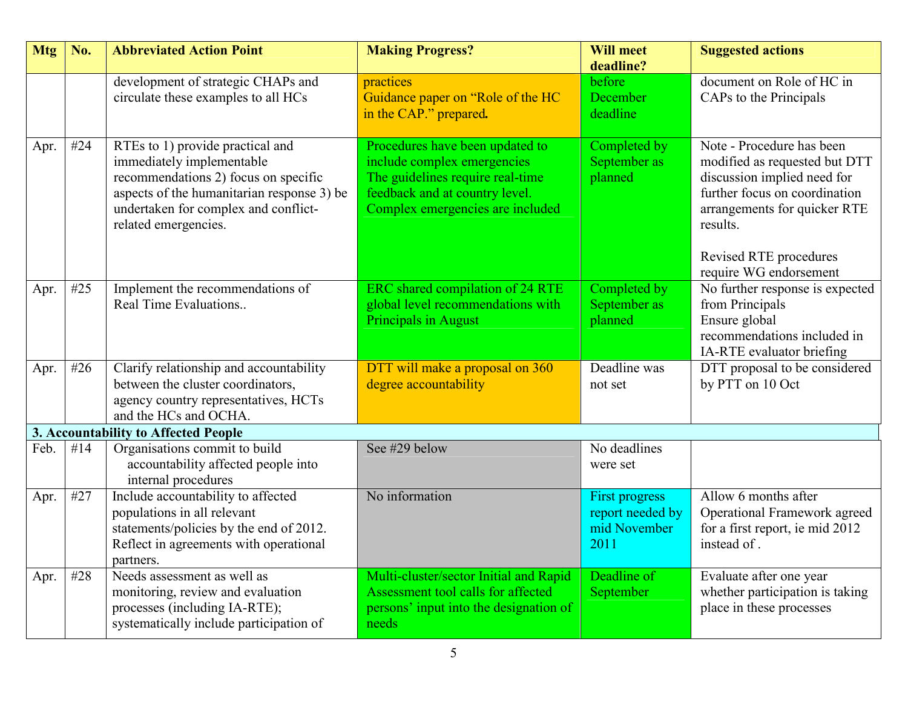| <b>Mtg</b> | No. | <b>Abbreviated Action Point</b>                                                                                                                                                                                     | <b>Making Progress?</b>                                                                                                                                                  | <b>Will meet</b><br>deadline?                              | <b>Suggested actions</b>                                                                                                                                                                                                   |
|------------|-----|---------------------------------------------------------------------------------------------------------------------------------------------------------------------------------------------------------------------|--------------------------------------------------------------------------------------------------------------------------------------------------------------------------|------------------------------------------------------------|----------------------------------------------------------------------------------------------------------------------------------------------------------------------------------------------------------------------------|
|            |     | development of strategic CHAPs and<br>circulate these examples to all HCs                                                                                                                                           | practices<br>Guidance paper on "Role of the HC<br>in the CAP." prepared.                                                                                                 | before<br>December<br>deadline                             | document on Role of HC in<br>CAPs to the Principals                                                                                                                                                                        |
| Apr.       | #24 | RTEs to 1) provide practical and<br>immediately implementable<br>recommendations 2) focus on specific<br>aspects of the humanitarian response 3) be<br>undertaken for complex and conflict-<br>related emergencies. | Procedures have been updated to<br>include complex emergencies<br>The guidelines require real-time<br>feedback and at country level.<br>Complex emergencies are included | Completed by<br>September as<br>planned                    | Note - Procedure has been<br>modified as requested but DTT<br>discussion implied need for<br>further focus on coordination<br>arrangements for quicker RTE<br>results.<br>Revised RTE procedures<br>require WG endorsement |
| Apr.       | #25 | Implement the recommendations of<br>Real Time Evaluations                                                                                                                                                           | ERC shared compilation of 24 RTE<br>global level recommendations with<br><b>Principals in August</b>                                                                     | Completed by<br>September as<br>planned                    | No further response is expected<br>from Principals<br>Ensure global<br>recommendations included in<br>IA-RTE evaluator briefing                                                                                            |
| Apr.       | #26 | Clarify relationship and accountability<br>between the cluster coordinators,<br>agency country representatives, HCTs<br>and the HCs and OCHA.                                                                       | DTT will make a proposal on 360<br>degree accountability                                                                                                                 | Deadline was<br>not set                                    | DTT proposal to be considered<br>by PTT on 10 Oct                                                                                                                                                                          |
|            |     | 3. Accountability to Affected People                                                                                                                                                                                |                                                                                                                                                                          |                                                            |                                                                                                                                                                                                                            |
| Feb.       | #14 | Organisations commit to build<br>accountability affected people into<br>internal procedures                                                                                                                         | See #29 below                                                                                                                                                            | No deadlines<br>were set                                   |                                                                                                                                                                                                                            |
| Apr.       | #27 | Include accountability to affected<br>populations in all relevant<br>statements/policies by the end of 2012.<br>Reflect in agreements with operational<br>partners.                                                 | No information                                                                                                                                                           | First progress<br>report needed by<br>mid November<br>2011 | Allow 6 months after<br>Operational Framework agreed<br>for a first report, ie mid 2012<br>instead of.                                                                                                                     |
| Apr.       | #28 | Needs assessment as well as<br>monitoring, review and evaluation<br>processes (including IA-RTE);<br>systematically include participation of                                                                        | Multi-cluster/sector Initial and Rapid<br>Assessment tool calls for affected<br>persons' input into the designation of<br>needs                                          | Deadline of<br>September                                   | Evaluate after one year<br>whether participation is taking<br>place in these processes                                                                                                                                     |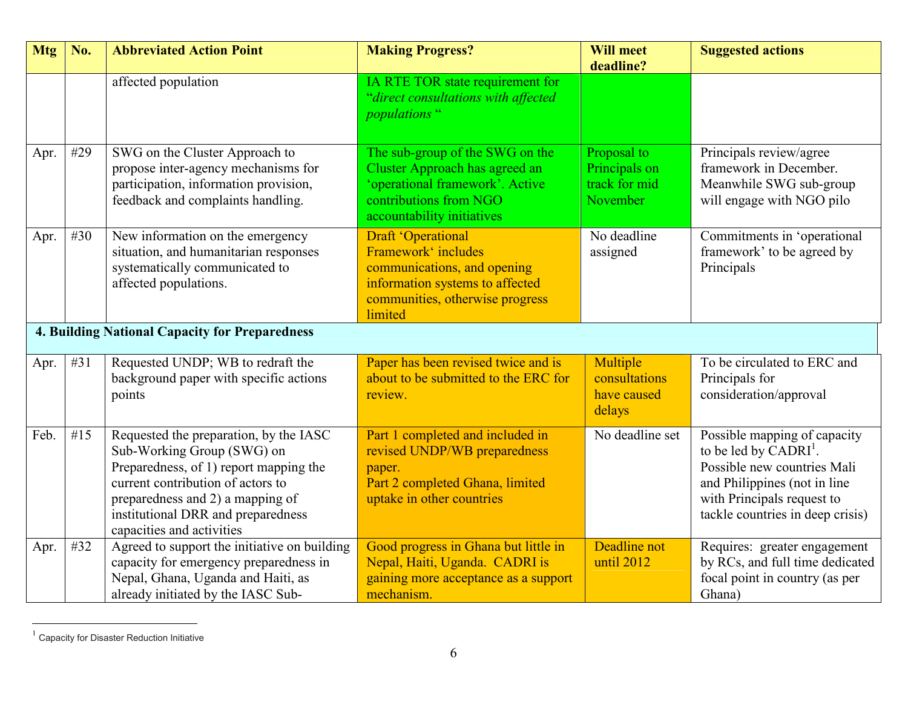| <b>Mtg</b> | No. | <b>Abbreviated Action Point</b>                                                                                                                                                                                                                            | <b>Making Progress?</b>                                                                                                                                     | <b>Will meet</b><br>deadline?                             | <b>Suggested actions</b>                                                                                                                                                                           |
|------------|-----|------------------------------------------------------------------------------------------------------------------------------------------------------------------------------------------------------------------------------------------------------------|-------------------------------------------------------------------------------------------------------------------------------------------------------------|-----------------------------------------------------------|----------------------------------------------------------------------------------------------------------------------------------------------------------------------------------------------------|
|            |     | affected population                                                                                                                                                                                                                                        | IA RTE TOR state requirement for<br>"direct consultations with affected<br><i>populations</i> "                                                             |                                                           |                                                                                                                                                                                                    |
| Apr.       | #29 | SWG on the Cluster Approach to<br>propose inter-agency mechanisms for<br>participation, information provision,<br>feedback and complaints handling.                                                                                                        | The sub-group of the SWG on the<br>Cluster Approach has agreed an<br>operational framework'. Active<br>contributions from NGO<br>accountability initiatives | Proposal to<br>Principals on<br>track for mid<br>November | Principals review/agree<br>framework in December.<br>Meanwhile SWG sub-group<br>will engage with NGO pilo                                                                                          |
| Apr.       | #30 | New information on the emergency<br>situation, and humanitarian responses<br>systematically communicated to<br>affected populations.                                                                                                                       | Draft 'Operational<br>Framework' includes<br>communications, and opening<br>information systems to affected<br>communities, otherwise progress<br>limited   | No deadline<br>assigned                                   | Commitments in 'operational<br>framework' to be agreed by<br>Principals                                                                                                                            |
|            |     | <b>4. Building National Capacity for Preparedness</b>                                                                                                                                                                                                      |                                                                                                                                                             |                                                           |                                                                                                                                                                                                    |
| Apr.       | #31 | Requested UNDP; WB to redraft the<br>background paper with specific actions<br>points                                                                                                                                                                      | Paper has been revised twice and is<br>about to be submitted to the ERC for<br>review.                                                                      | Multiple<br>consultations<br>have caused<br>delays        | To be circulated to ERC and<br>Principals for<br>consideration/approval                                                                                                                            |
| Feb.       | #15 | Requested the preparation, by the IASC<br>Sub-Working Group (SWG) on<br>Preparedness, of 1) report mapping the<br>current contribution of actors to<br>preparedness and 2) a mapping of<br>institutional DRR and preparedness<br>capacities and activities | Part 1 completed and included in<br>revised UNDP/WB preparedness<br>paper.<br>Part 2 completed Ghana, limited<br>uptake in other countries                  | No deadline set                                           | Possible mapping of capacity<br>to be led by CADRI <sup>1</sup> .<br>Possible new countries Mali<br>and Philippines (not in line<br>with Principals request to<br>tackle countries in deep crisis) |
| Apr.       | #32 | Agreed to support the initiative on building<br>capacity for emergency preparedness in<br>Nepal, Ghana, Uganda and Haiti, as<br>already initiated by the IASC Sub-                                                                                         | Good progress in Ghana but little in<br>Nepal, Haiti, Uganda. CADRI is<br>gaining more acceptance as a support<br>mechanism.                                | Deadline not<br>until 2012                                | Requires: greater engagement<br>by RCs, and full time dedicated<br>focal point in country (as per<br>Ghana)                                                                                        |

<sup>&</sup>lt;sup>1</sup> Capacity for Disaster Reduction Initiative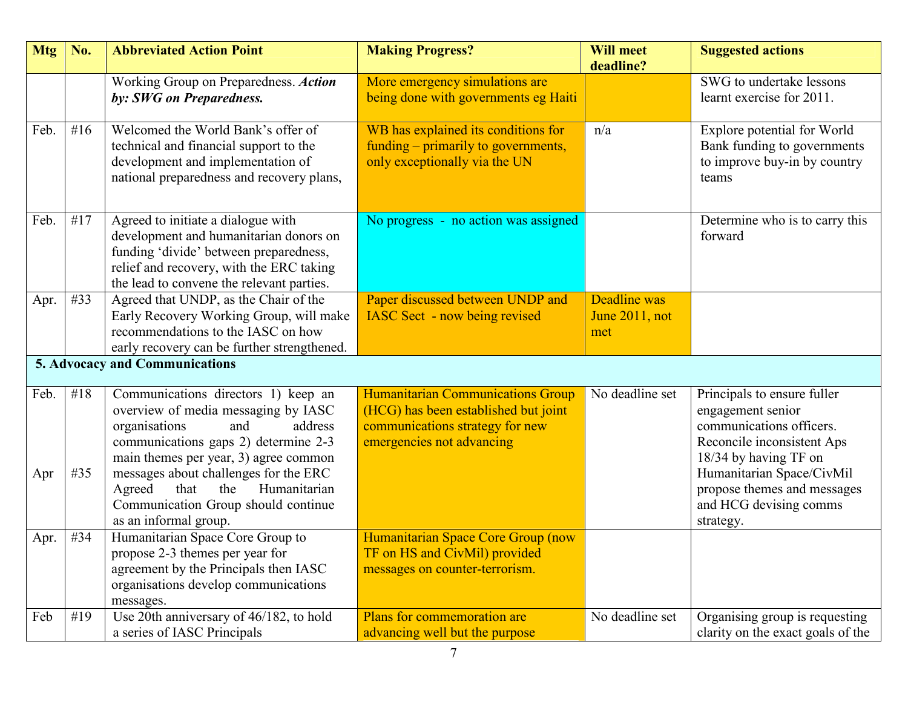| <b>Mtg</b>          | No.               | <b>Abbreviated Action Point</b>                                                                                                                                                                                                                                                                                                                                                      | <b>Making Progress?</b>                                                                                                                                                         | <b>Will meet</b><br>deadline?                | <b>Suggested actions</b>                                                                                                                                                                                                               |
|---------------------|-------------------|--------------------------------------------------------------------------------------------------------------------------------------------------------------------------------------------------------------------------------------------------------------------------------------------------------------------------------------------------------------------------------------|---------------------------------------------------------------------------------------------------------------------------------------------------------------------------------|----------------------------------------------|----------------------------------------------------------------------------------------------------------------------------------------------------------------------------------------------------------------------------------------|
|                     |                   | Working Group on Preparedness. Action<br>by: SWG on Preparedness.                                                                                                                                                                                                                                                                                                                    | More emergency simulations are<br>being done with governments eg Haiti                                                                                                          |                                              | SWG to undertake lessons<br>learnt exercise for 2011.                                                                                                                                                                                  |
| Feb.                | #16               | Welcomed the World Bank's offer of<br>technical and financial support to the<br>development and implementation of<br>national preparedness and recovery plans,                                                                                                                                                                                                                       | WB has explained its conditions for<br>funding – primarily to governments,<br>only exceptionally via the UN                                                                     | n/a                                          | Explore potential for World<br>Bank funding to governments<br>to improve buy-in by country<br>teams                                                                                                                                    |
| Feb.                | #17               | Agreed to initiate a dialogue with<br>development and humanitarian donors on<br>funding 'divide' between preparedness,<br>relief and recovery, with the ERC taking<br>the lead to convene the relevant parties.                                                                                                                                                                      | No progress - no action was assigned                                                                                                                                            |                                              | Determine who is to carry this<br>forward                                                                                                                                                                                              |
| Apr.                | #33               | Agreed that UNDP, as the Chair of the<br>Early Recovery Working Group, will make<br>recommendations to the IASC on how<br>early recovery can be further strengthened.                                                                                                                                                                                                                | Paper discussed between UNDP and<br><b>IASC Sect - now being revised</b>                                                                                                        | <b>Deadline</b> was<br>June 2011, not<br>met |                                                                                                                                                                                                                                        |
|                     |                   | 5. Advocacy and Communications                                                                                                                                                                                                                                                                                                                                                       |                                                                                                                                                                                 |                                              |                                                                                                                                                                                                                                        |
| Feb.<br>Apr<br>Apr. | #18<br>#35<br>#34 | Communications directors 1) keep an<br>overview of media messaging by IASC<br>organisations<br>and<br>address<br>communications gaps 2) determine 2-3<br>main themes per year, 3) agree common<br>messages about challenges for the ERC<br>Humanitarian<br>Agreed<br>that<br>the<br>Communication Group should continue<br>as an informal group.<br>Humanitarian Space Core Group to | Humanitarian Communications Group<br>(HCG) has been established but joint<br>communications strategy for new<br>emergencies not advancing<br>Humanitarian Space Core Group (now | No deadline set                              | Principals to ensure fuller<br>engagement senior<br>communications officers.<br>Reconcile inconsistent Aps<br>18/34 by having TF on<br>Humanitarian Space/CivMil<br>propose themes and messages<br>and HCG devising comms<br>strategy. |
|                     |                   | propose 2-3 themes per year for<br>agreement by the Principals then IASC<br>organisations develop communications<br>messages.                                                                                                                                                                                                                                                        | TF on HS and CivMil) provided<br>messages on counter-terrorism.                                                                                                                 |                                              |                                                                                                                                                                                                                                        |
| Feb                 | #19               | Use 20th anniversary of 46/182, to hold<br>a series of IASC Principals                                                                                                                                                                                                                                                                                                               | Plans for commemoration are<br>advancing well but the purpose                                                                                                                   | No deadline set                              | Organising group is requesting<br>clarity on the exact goals of the                                                                                                                                                                    |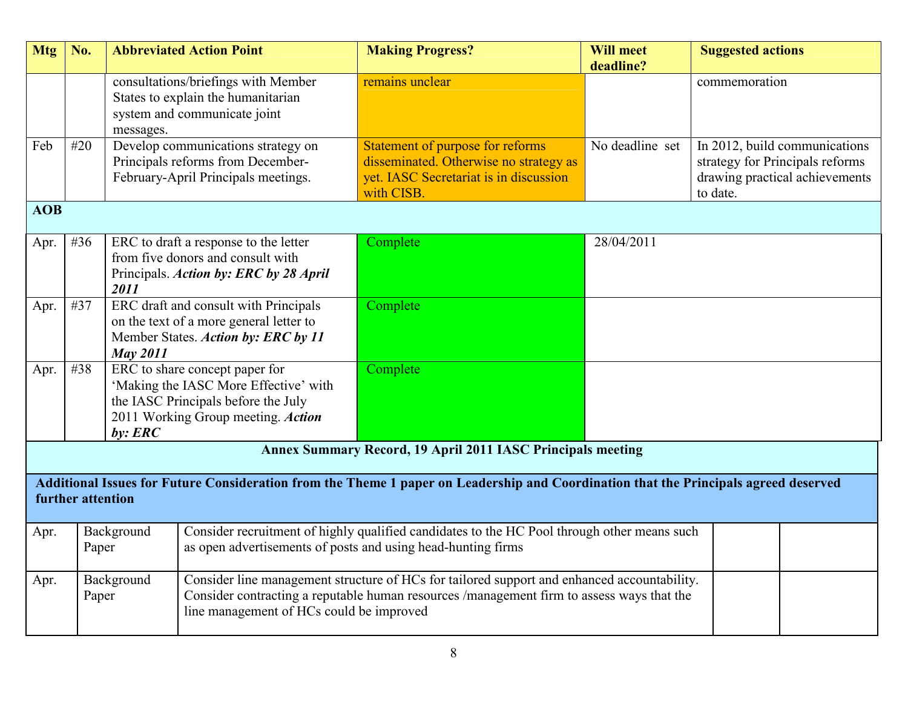| <b>Mtg</b>                                                                                                                                                | No.                                                                                                                                                                                |                                                                                                                                                                                                                                                    | <b>Abbreviated Action Point</b>                                                                                         | <b>Making Progress?</b>                                                                                                            | <b>Will meet</b><br>deadline?                                                                                                     | <b>Suggested actions</b> |  |
|-----------------------------------------------------------------------------------------------------------------------------------------------------------|------------------------------------------------------------------------------------------------------------------------------------------------------------------------------------|----------------------------------------------------------------------------------------------------------------------------------------------------------------------------------------------------------------------------------------------------|-------------------------------------------------------------------------------------------------------------------------|------------------------------------------------------------------------------------------------------------------------------------|-----------------------------------------------------------------------------------------------------------------------------------|--------------------------|--|
|                                                                                                                                                           |                                                                                                                                                                                    | messages.                                                                                                                                                                                                                                          | consultations/briefings with Member<br>States to explain the humanitarian<br>system and communicate joint               | remains unclear                                                                                                                    |                                                                                                                                   | commemoration            |  |
| Feb                                                                                                                                                       | #20                                                                                                                                                                                |                                                                                                                                                                                                                                                    | Develop communications strategy on<br>Principals reforms from December-<br>February-April Principals meetings.          | Statement of purpose for reforms<br>disseminated. Otherwise no strategy as<br>yet. IASC Secretariat is in discussion<br>with CISB. | No deadline set<br>In 2012, build communications<br>strategy for Principals reforms<br>drawing practical achievements<br>to date. |                          |  |
| <b>AOB</b>                                                                                                                                                |                                                                                                                                                                                    |                                                                                                                                                                                                                                                    |                                                                                                                         |                                                                                                                                    |                                                                                                                                   |                          |  |
| Apr.                                                                                                                                                      | #36                                                                                                                                                                                | 2011                                                                                                                                                                                                                                               | ERC to draft a response to the letter<br>from five donors and consult with<br>Principals. Action by: ERC by 28 April    | Complete                                                                                                                           | 28/04/2011                                                                                                                        |                          |  |
| Apr.                                                                                                                                                      | #37                                                                                                                                                                                | <b>May 2011</b>                                                                                                                                                                                                                                    | ERC draft and consult with Principals<br>on the text of a more general letter to<br>Member States. Action by: ERC by 11 | Complete                                                                                                                           |                                                                                                                                   |                          |  |
| Apr.                                                                                                                                                      | #38                                                                                                                                                                                | ERC to share concept paper for<br>'Making the IASC More Effective' with<br>the IASC Principals before the July<br>2011 Working Group meeting. Action<br>$by:$ <i>ERC</i>                                                                           |                                                                                                                         | Complete                                                                                                                           |                                                                                                                                   |                          |  |
|                                                                                                                                                           |                                                                                                                                                                                    |                                                                                                                                                                                                                                                    |                                                                                                                         | <b>Annex Summary Record, 19 April 2011 IASC Principals meeting</b>                                                                 |                                                                                                                                   |                          |  |
| Additional Issues for Future Consideration from the Theme 1 paper on Leadership and Coordination that the Principals agreed deserved<br>further attention |                                                                                                                                                                                    |                                                                                                                                                                                                                                                    |                                                                                                                         |                                                                                                                                    |                                                                                                                                   |                          |  |
| Apr.                                                                                                                                                      | Consider recruitment of highly qualified candidates to the HC Pool through other means such<br>Background<br>as open advertisements of posts and using head-hunting firms<br>Paper |                                                                                                                                                                                                                                                    |                                                                                                                         |                                                                                                                                    |                                                                                                                                   |                          |  |
| Apr.                                                                                                                                                      | Paper                                                                                                                                                                              | Consider line management structure of HCs for tailored support and enhanced accountability.<br>Background<br>Consider contracting a reputable human resources /management firm to assess ways that the<br>line management of HCs could be improved |                                                                                                                         |                                                                                                                                    |                                                                                                                                   |                          |  |